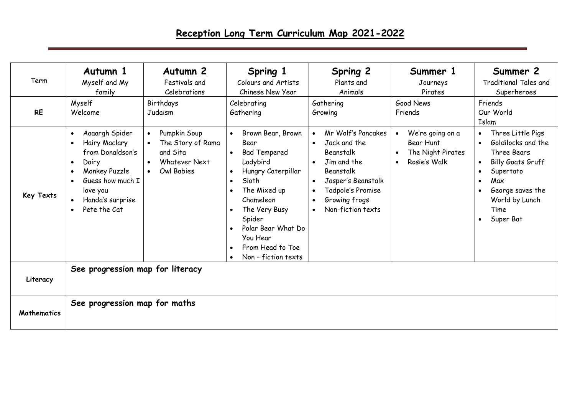## **Reception Long Term Curriculum Map 2021-2022**

| Term<br><b>RE</b> | Autumn 1<br>Myself and My<br>family<br>Myself<br>Welcome                                                                                                                                                                                     | Autumn 2<br>Festivals and<br>Celebrations<br>Birthdays<br>Judaism                                             | Spring 1<br>Colours and Artists<br>Chinese New Year<br>Celebrating<br>Gathering                                                                                                                                                                                                                                | <b>Spring 2</b><br>Plants and<br>Animals<br>Gathering<br>Growing                                                                                                                                                 | Summer 1<br>Journeys<br>Pirates<br>Good News<br>Friends                                                   | Summer 2<br><b>Traditional Tales and</b><br>Superheroes<br>Friends<br>Our World<br>Islam                                                                                                                              |
|-------------------|----------------------------------------------------------------------------------------------------------------------------------------------------------------------------------------------------------------------------------------------|---------------------------------------------------------------------------------------------------------------|----------------------------------------------------------------------------------------------------------------------------------------------------------------------------------------------------------------------------------------------------------------------------------------------------------------|------------------------------------------------------------------------------------------------------------------------------------------------------------------------------------------------------------------|-----------------------------------------------------------------------------------------------------------|-----------------------------------------------------------------------------------------------------------------------------------------------------------------------------------------------------------------------|
| <b>Key Texts</b>  | Aaaargh Spider<br>$\bullet$<br>Hairy Maclary<br>$\bullet$<br>from Donaldson's<br>Dairy<br>$\bullet$<br>Monkey Puzzle<br>$\bullet$<br>Guess how much I<br>$\bullet$<br>love you<br>Handa's surprise<br>$\bullet$<br>Pete the Cat<br>$\bullet$ | Pumpkin Soup<br>$\bullet$<br>The Story of Rama<br>and Sita<br><b>Whatever Next</b><br>$\bullet$<br>Owl Babies | Brown Bear, Brown<br>Bear<br><b>Bad Tempered</b><br>$\bullet$<br>Ladybird<br>Hungry Caterpillar<br>$\bullet$<br>Sloth<br>$\bullet$<br>The Mixed up<br>Chameleon<br>The Very Busy<br>$\bullet$<br>Spider<br>Polar Bear What Do<br>$\bullet$<br>You Hear<br>From Head to Toe<br>$\bullet$<br>Non - fiction texts | Mr Wolf's Pancakes<br>Jack and the<br>$\bullet$<br>Beanstalk<br>Jim and the<br>Beanstalk<br>Jasper's Beanstalk<br>$\bullet$<br>Tadpole's Promise<br>$\bullet$<br>Growing frogs<br>Non-fiction texts<br>$\bullet$ | We're going on a<br>$\bullet$<br>Bear Hunt<br>The Night Pirates<br>$\bullet$<br>Rosie's Walk<br>$\bullet$ | Three Little Pigs<br>$\bullet$<br>Goldilocks and the<br>Three Bears<br><b>Billy Goats Gruff</b><br>$\bullet$<br>Supertato<br>Max<br>$\bullet$<br>George saves the<br>World by Lunch<br>Time<br>Super Bat<br>$\bullet$ |
| Literacy          | See progression map for literacy                                                                                                                                                                                                             |                                                                                                               |                                                                                                                                                                                                                                                                                                                |                                                                                                                                                                                                                  |                                                                                                           |                                                                                                                                                                                                                       |
| Mathematics       | See progression map for maths                                                                                                                                                                                                                |                                                                                                               |                                                                                                                                                                                                                                                                                                                |                                                                                                                                                                                                                  |                                                                                                           |                                                                                                                                                                                                                       |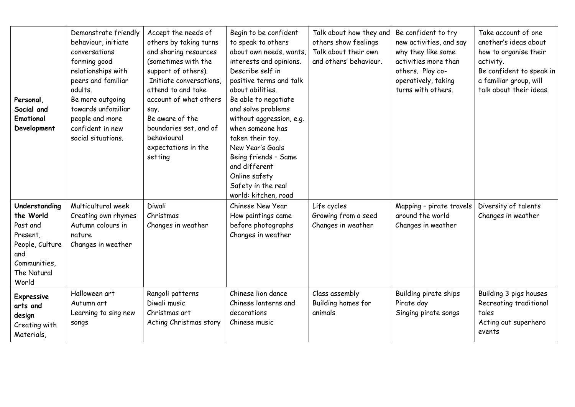| Personal,<br>Social and<br>Emotional<br>Development                                                                  | Demonstrate friendly<br>behaviour, initiate<br>conversations<br>forming good<br>relationships with<br>peers and familiar<br>adults.<br>Be more outgoing<br>towards unfamiliar<br>people and more<br>confident in new<br>social situations. | Accept the needs of<br>others by taking turns<br>and sharing resources<br>(sometimes with the<br>support of others).<br>Initiate conversations.<br>attend to and take<br>account of what others<br>say.<br>Be aware of the<br>boundaries set, and of<br>behavioural<br>expectations in the<br>setting | Begin to be confident<br>to speak to others<br>about own needs, wants,<br>interests and opinions.<br>Describe self in<br>positive terms and talk<br>about abilities.<br>Be able to negotiate<br>and solve problems<br>without aggression, e.g.<br>when someone has<br>taken their toy.<br>New Year's Goals<br>Being friends - Same<br>and different<br>Online safety<br>Safety in the real<br>world: kitchen, road | Talk about how they and<br>others show feelings<br>Talk about their own<br>and others' behaviour. | Be confident to try<br>new activities, and say<br>why they like some<br>activities more than<br>others. Play co-<br>operatively, taking<br>turns with others. | Take account of one<br>another's ideas about<br>how to organise their<br>activity.<br>Be confident to speak in<br>a familiar group, will<br>talk about their ideas. |
|----------------------------------------------------------------------------------------------------------------------|--------------------------------------------------------------------------------------------------------------------------------------------------------------------------------------------------------------------------------------------|-------------------------------------------------------------------------------------------------------------------------------------------------------------------------------------------------------------------------------------------------------------------------------------------------------|--------------------------------------------------------------------------------------------------------------------------------------------------------------------------------------------------------------------------------------------------------------------------------------------------------------------------------------------------------------------------------------------------------------------|---------------------------------------------------------------------------------------------------|---------------------------------------------------------------------------------------------------------------------------------------------------------------|---------------------------------------------------------------------------------------------------------------------------------------------------------------------|
| Understanding<br>the World<br>Past and<br>Present,<br>People, Culture<br>and<br>Communities,<br>The Natural<br>World | Multicultural week<br>Creating own rhymes<br>Autumn colours in<br>nature<br>Changes in weather                                                                                                                                             | Diwali<br>Christmas<br>Changes in weather                                                                                                                                                                                                                                                             | Chinese New Year<br>How paintings came<br>before photographs<br>Changes in weather                                                                                                                                                                                                                                                                                                                                 | Life cycles<br>Growing from a seed<br>Changes in weather                                          | Mapping - pirate travels<br>around the world<br>Changes in weather                                                                                            | Diversity of talents<br>Changes in weather                                                                                                                          |
| <b>Expressive</b><br>arts and<br>design<br>Creating with<br>Materials,                                               | Halloween art<br>Autumn art<br>Learning to sing new<br>songs                                                                                                                                                                               | Rangoli patterns<br>Diwali music<br>Christmas art<br>Acting Christmas story                                                                                                                                                                                                                           | Chinese lion dance<br>Chinese lanterns and<br>decorations<br>Chinese music                                                                                                                                                                                                                                                                                                                                         | Class assembly<br>Building homes for<br>animals                                                   | Building pirate ships<br>Pirate day<br>Singing pirate songs                                                                                                   | Building 3 pigs houses<br>Recreating traditional<br>tales<br>Acting out superhero<br>events                                                                         |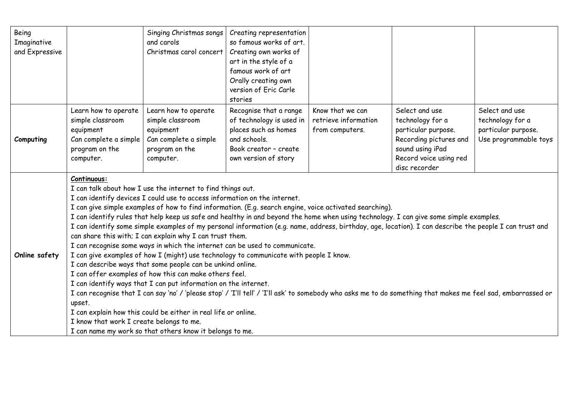| Being<br>Imaginative<br>and Expressive |                                                                                                                                                                                                                                                                                                                                                                                                                                                                                                                                                                                                                                                                                                                                                                                                                                                                                                                                                                                                                                                                                                                                                                                                                                                                                                                                                              | Singing Christmas songs<br>and carols<br>Christmas carol concert                                              | Creating representation<br>so famous works of art.<br>Creating own works of<br>art in the style of a<br>famous work of art<br>Orally creating own<br>version of Eric Carle<br>stories |                                                             |                                                                                                                                                    |                                                                                    |  |
|----------------------------------------|--------------------------------------------------------------------------------------------------------------------------------------------------------------------------------------------------------------------------------------------------------------------------------------------------------------------------------------------------------------------------------------------------------------------------------------------------------------------------------------------------------------------------------------------------------------------------------------------------------------------------------------------------------------------------------------------------------------------------------------------------------------------------------------------------------------------------------------------------------------------------------------------------------------------------------------------------------------------------------------------------------------------------------------------------------------------------------------------------------------------------------------------------------------------------------------------------------------------------------------------------------------------------------------------------------------------------------------------------------------|---------------------------------------------------------------------------------------------------------------|---------------------------------------------------------------------------------------------------------------------------------------------------------------------------------------|-------------------------------------------------------------|----------------------------------------------------------------------------------------------------------------------------------------------------|------------------------------------------------------------------------------------|--|
| Computing                              | Learn how to operate<br>simple classroom<br>equipment<br>Can complete a simple<br>program on the<br>computer.                                                                                                                                                                                                                                                                                                                                                                                                                                                                                                                                                                                                                                                                                                                                                                                                                                                                                                                                                                                                                                                                                                                                                                                                                                                | Learn how to operate<br>simple classroom<br>equipment<br>Can complete a simple<br>program on the<br>computer. | Recognise that a range<br>of technology is used in<br>places such as homes<br>and schools.<br>Book creator - create<br>own version of story                                           | Know that we can<br>retrieve information<br>from computers. | Select and use<br>technology for a<br>particular purpose.<br>Recording pictures and<br>sound using iPad<br>Record voice using red<br>disc recorder | Select and use<br>technology for a<br>particular purpose.<br>Use programmable toys |  |
| Online safety                          | Continuous:<br>I can talk about how I use the internet to find things out.<br>I can identify devices I could use to access information on the internet.<br>I can give simple examples of how to find information. (E.g. search engine, voice activated searching).<br>I can identify rules that help keep us safe and healthy in and beyond the home when using technology. I can give some simple examples.<br>I can identify some simple examples of my personal information (e.g. name, address, birthday, age, location). I can describe the people I can trust and<br>can share this with; I can explain why I can trust them.<br>I can recognise some ways in which the internet can be used to communicate.<br>I can give examples of how I (might) use technology to communicate with people I know.<br>I can describe ways that some people can be unkind online.<br>I can offer examples of how this can make others feel.<br>I can identify ways that I can put information on the internet.<br>I can recognise that I can say 'no' / 'please stop' / 'I'll tell' / 'I'll ask' to somebody who asks me to do something that makes me feel sad, embarrassed or<br>upset.<br>I can explain how this could be either in real life or online.<br>I know that work I create belongs to me.<br>I can name my work so that others know it belongs to me. |                                                                                                               |                                                                                                                                                                                       |                                                             |                                                                                                                                                    |                                                                                    |  |